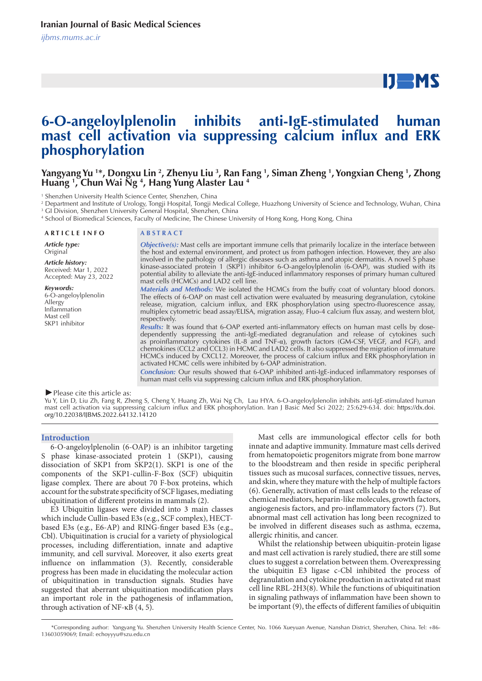# $IJ$  MS

# **6-O-angeloylplenolin inhibits anti-IgE-stimulated human mast cell activation via suppressing calcium influx and ERK phosphorylation**

# Yangyang Yu <sup>1</sup>\*, Dongxu Lin <sup>2</sup>, Zhenyu Liu <sup>3</sup>, Ran Fang <sup>1</sup>, Siman Zheng <sup>1</sup>, Yongxian Cheng <sup>1</sup>, Zhong **Huang 1 , Chun Wai Ng 4 , Hang Yung Alaster Lau 4**

1 Shenzhen University Health Science Center, Shenzhen, China

2 Department and Institute of Urology, Tongji Hospital, Tongji Medical College, Huazhong University of Science and Technology, Wuhan, China 3 GI Division, Shenzhen University General Hospital, Shenzhen, China

4 School of Biomedical Sciences, Faculty of Medicine, The Chinese University of Hong Kong, Hong Kong, China

#### **A R T I C L E I N F O A B S T R A C T**

*Article type:* Original

*Article history:* Received: Mar 1, 2022 Accepted: May 23, 2022

*Keywords:*

6-O-angeloylplenolin Allergy Inflammation Mast cell SKP1 inhibitor

*Objective(s):* Mast cells are important immune cells that primarily localize in the interface between the host and external environment, and protect us from pathogen infection. However, they are also involved in the pathology of allergic diseases such as asthma and atopic dermatitis. A novel S phase kinase-associated protein 1 (SKP1) inhibitor 6-O-angeloylplenolin (6-OAP), was studied with its potential ability to alleviate the anti-IgE-induced inflammatory responses of primary human cultured mast cells (HCMCs) and LAD2 cell line.

*Materials and Methods:* We isolated the HCMCs from the buffy coat of voluntary blood donors. The effects of 6-OAP on mast cell activation were evaluated by measuring degranulation, cytokine release, migration, calcium influx, and ERK phosphorylation using spectro-fluorescence assay, multiplex cytometric bead assay/ELISA, migration assay, Fluo-4 calcium flux assay, and western blot, respectively.

*Results:* It was found that 6-OAP exerted anti-inflammatory effects on human mast cells by dosedependently suppressing the anti-IgE-mediated degranulation and release of cytokines such as proinflammatory cytokines (IL-8 and TNF-α), growth factors (GM-CSF, VEGF, and FGF), and chemokines (CCL2 and CCL3) in HCMC and LAD2 cells. It also suppressed the migration of immature HCMCs induced by CXCL12. Moreover, the process of calcium influx and ERK phosphorylation in activated HCMC cells were inhibited by 6-OAP administration.

*Conclusion:* Our results showed that 6-OAP inhibited anti-IgE-induced inflammatory responses of human mast cells via suppressing calcium influx and ERK phosphorylation.

*►*Please cite this article as:

Yu Y, Lin D, Liu Zh, Fang R, Zheng S, Cheng Y, Huang Zh, Wai Ng Ch, Lau HYA. 6-O-angeloylplenolin inhibits anti-IgE-stimulated human mast cell activation via suppressing calcium influx and ERK phosphorylation. Iran J Basic Med Sci 2022; 25:629-634. doi: https://dx.doi. org/10.22038/IJBMS.2022.64132.14120

#### **Introduction**

6-O-angeloylplenolin (6-OAP) is an inhibitor targeting S phase kinase-associated protein 1 (SKP1), causing dissociation of SKP1 from SKP2(1). SKP1 is one of the components of the SKP1-cullin-F-Box (SCF) ubiquitin ligase complex. There are about 70 F-box proteins, which account for the substrate specificity of SCF ligases, mediating ubiquitination of different proteins in mammals (2).

E3 Ubiquitin ligases were divided into 3 main classes which include Cullin-based E3s (e.g., SCF complex), HECTbased E3s (e.g., E6-AP) and RING-finger based E3s (e.g., Cbl). Ubiquitination is crucial for a variety of physiological processes, including differentiation, innate and adaptive immunity, and cell survival. Moreover, it also exerts great influence on inflammation (3). Recently, considerable progress has been made in elucidating the molecular action of ubiquitination in transduction signals. Studies have suggested that aberrant ubiquitination modification plays an important role in the pathogenesis of inflammation, through activation of NF- $κB(4, 5)$ .

Mast cells are immunological effector cells for both innate and adaptive immunity. Immature mast cells derived from hematopoietic progenitors migrate from bone marrow to the bloodstream and then reside in specific peripheral tissues such as mucosal surfaces, connective tissues, nerves, and skin, where they mature with the help of multiple factors (6). Generally, activation of mast cells leads to the release of chemical mediators, heparin-like molecules, growth factors, angiogenesis factors, and pro-inflammatory factors (7). But abnormal mast cell activation has long been recognized to be involved in different diseases such as asthma, eczema, allergic rhinitis, and cancer.

Whilst the relationship between ubiquitin-protein ligase and mast cell activation is rarely studied, there are still some clues to suggest a correlation between them. Overexpressing the ubiquitin E3 ligase c-Cbl inhibited the process of degranulation and cytokine production in activated rat mast cell line RBL-2H3(8). While the functions of ubiquitination in signaling pathways of inflammation have been shown to be important (9), the effects of different families of ubiquitin

 <sup>\*</sup>Corresponding author: Yangyang Yu. Shenzhen University Health Science Center, No. 1066 Xueyuan Avenue, Nanshan District, Shenzhen, China. Tel: +86- 13603059069; Email: echoyyyu@szu.edu.cn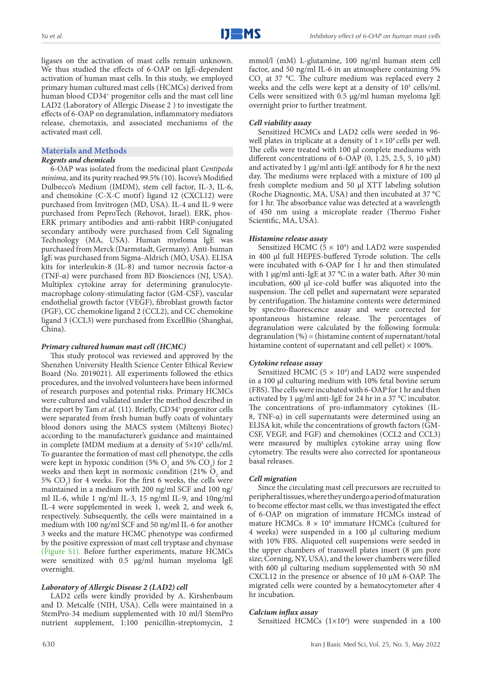ligases on the activation of mast cells remain unknown. We thus studied the effects of 6-OAP on IgE-dependent activation of human mast cells. In this study, we employed primary human cultured mast cells (HCMCs) derived from human blood CD34<sup>+</sup> progenitor cells and the mast cell line LAD2 (Laboratory of Allergic Disease 2 ) to investigate the effects of 6-OAP on degranulation, inflammatory mediators release, chemotaxis, and associated mechanisms of the activated mast cell.

# **Materials and Methods**

# *Regents and chemicals*

6-OAP was isolated from the medicinal plant *Centipeda minima*, and its purity reached 99.5% (10). Iscove's Modified Dulbecco's Medium (IMDM), stem cell factor, IL-3, IL-6, and chemokine (C-X-C motif) ligand 12 (CXCL12) were purchased from Invitrogen (MD, USA). IL-4 and IL-9 were purchased from PeproTech (Rehovot, Israel). ERK, phos-ERK primary antibodies and anti-rabbit HRP-conjugated secondary antibody were purchased from Cell Signaling Technology (MA, USA). Human myeloma IgE was purchased from Merck (Darmstadt, Germany). Anti-human IgE was purchased from Sigma-Aldrich (MO, USA). ELISA kits for interleukin-8 (IL-8) and tumor necrosis factor-α (TNF-α) were purchased from BD Biosciences (NJ, USA). Multiplex cytokine array for determining granulocytemacrophage colony-stimulating factor (GM-CSF), vascular endothelial growth factor (VEGF), fibroblast growth factor (FGF), CC chemokine ligand 2 (CCL2), and CC chemokine ligand 3 (CCL3) were purchased from ExcellBio (Shanghai, China).

# *Primary cultured human mast cell (HCMC)*

This study protocol was reviewed and approved by the Shenzhen University Health Science Center Ethical Review Board (No. 2019021). All experiments followed the ethics procedures, and the involved volunteers have been informed of research purposes and potential risks. Primary HCMCs were cultured and validated under the method described in the report by Tam *et al.* (11). Briefly, CD34<sup>+</sup> progenitor cells were separated from fresh human buffy coats of voluntary blood donors using the MACS system (Miltenyi Biotec) according to the manufacturer's guidance and maintained in complete IMDM medium at a density of  $5 \times 10^5$  cells/ml. To guarantee the formation of mast cell phenotype, the cells were kept in hypoxic condition (5%  $O_2$  and 5%  $CO_2$ ) for 2 weeks and then kept in normoxic condition (21%  $O_2$  and 5%  $CO<sub>2</sub>$ ) for 4 weeks. For the first 6 weeks, the cells were maintained in a medium with 200 ng/ml SCF and 100 ng/ ml IL-6, while 1 ng/ml IL-3, 15 ng/ml IL-9, and 10ng/ml IL-4 were supplemented in week 1, week 2, and week 6, respectively. Subsequently, the cells were maintained in a medium with 100 ng/ml SCF and 50 ng/ml IL-6 for another 3 weeks and the mature HCMC phenotype was confirmed by the positive expression of mast cell tryptase and chymase (Figure S1). Before further experiments, mature HCMCs were sensitized with 0.5 μg/ml human myeloma IgE overnight.

# *Laboratory of Allergic Disease 2 (LAD2) cell*

LAD2 cells were kindly provided by A. Kirshenbaum and D. Metcalfe (NIH, USA). Cells were maintained in a StemPro-34 medium supplemented with 10 ml/l StemPro nutrient supplement, 1:100 penicillin-streptomycin, 2 mmol/l (mM) L-glutamine, 100 ng/ml human stem cell factor, and 50 ng/ml IL-6 in an atmosphere containing 5%  $CO<sub>2</sub>$  at 37 °C. The culture medium was replaced every 2 weeks and the cells were kept at a density of 10<sup>5</sup> cells/ml. Cells were sensitized with 0.5 μg/ml human myeloma IgE overnight prior to further treatment.

# *Cell viability assay*

Sensitized HCMCs and LAD2 cells were seeded in 96 well plates in triplicate at a density of  $1 \times 10^4$  cells per well. The cells were treated with 100 μl complete mediums with different concentrations of 6-OAP  $(0, 1.25, 2.5, 5, 10 \mu M)$ and activated by 1 μg/ml anti-IgE antibody for 8 hr the next day. The mediums were replaced with a mixture of 100 μl fresh complete medium and 50 μl XTT labeling solution (Roche Diagnostic, MA, USA) and then incubated at 37 °C for 1 hr. The absorbance value was detected at a wavelength of 450 nm using a microplate reader (Thermo Fisher Scientific, MA, USA).

# *Histamine release assay*

Sensitized HCMC ( $5 \times 10^4$ ) and LAD2 were suspended in 400 μl full HEPES-buffered Tyrode solution. The cells were incubated with 6-OAP for 1 hr and then stimulated with 1 μg/ml anti-IgE at 37 °C in a water bath. After 30 min incubation, 600 μl ice-cold buffer was aliquoted into the suspension. The cell pellet and supernatant were separated by centrifugation. The histamine contents were determined by spectro-fluorescence assay and were corrected for spontaneous histamine release. The percentages of degranulation were calculated by the following formula: degranulation (%) = (histamine content of supernatant/total histamine content of supernatant and cell pellet)  $\times$  100%.

# *Cytokine release assay*

Sensitized HCMC ( $5 \times 10^4$ ) and LAD2 were suspended in a 100 μl culturing medium with 10% fetal bovine serum (FBS). The cells were incubated with 6-OAP for 1 hr and then activated by 1 μg/ml anti-IgE for 24 hr in a 37 °C incubator. The concentrations of pro-inflammatory cytokines (IL-8, TNF-α) in cell supernatants were determined using an ELISA kit, while the concentrations of growth factors (GM-CSF, VEGF, and FGF) and chemokines (CCL2 and CCL3) were measured by multiplex cytokine array using flow cytometry. The results were also corrected for spontaneous basal releases.

# *Cell migration*

Since the circulating mast cell precursors are recruited to peripheral tissues, where they undergo a period of maturation to become effector mast cells, we thus investigated the effect of 6-OAP on migration of immature HCMCs instead of mature HCMCs.  $8 \times 10^4$  immature HCMCs (cultured for 4 weeks) were suspended in a 100 μl culturing medium with 10% FBS. Aliquoted cell suspensions were seeded in the upper chambers of transwell plates insert (8 μm pore size; Corning, NY, USA), and the lower chambers were filled with 600 μl culturing medium supplemented with 50 nM CXCL12 in the presence or absence of 10 μM 6-OAP. The migrated cells were counted by a hematocytometer after 4 hr incubation.

# *Calcium influx assay*

Sensitized HCMCs (1×10<sup>4</sup>) were suspended in a 100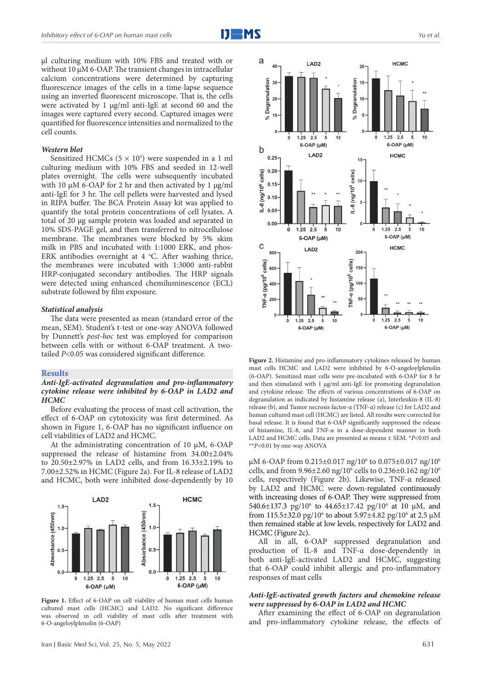μl culturing medium with 10% FBS and treated with or without 10 μM 6-OAP. The transient changes in intracellular calcium concentrations were determined by capturing fluorescence images of the cells in a time-lapse sequence using an inverted fluorescent microscope. That is, the cells were activated by 1 μg/ml anti-IgE at second 60 and the images were captured every second. Captured images were quantified for fluorescence intensities and normalized to the cell counts.

#### *Western blot*

Sensitized HCMCs  $(5 \times 10^5)$  were suspended in a 1 ml culturing medium with 10% FBS and seeded in 12-well plates overnight. The cells were subsequently incubated with 10 μM 6-OAP for 2 hr and then activated by 1 μg/ml anti-IgE for 3 hr. The cell pellets were harvested and lysed in RIPA buffer. The BCA Protein Assay kit was applied to quantify the total protein concentrations of cell lysates. A total of 20 μg sample protein was loaded and separated in 10% SDS-PAGE gel, and then transferred to nitrocellulose membrane. The membranes were blocked by 5% skim milk in PBS and incubated with 1:1000 ERK, and phos-ERK antibodies overnight at 4 °C. After washing thrice, the membranes were incubated with 1:3000 anti-rabbit HRP-conjugated secondary antibodies. The HRP signals were detected using enhanced chemiluminescence (ECL) substrate followed by film exposure.

#### *Statistical analysis*

The data were presented as mean (standard error of the mean, SEM). Student's t-test or one-way ANOVA followed by Dunnett's *post-hoc* test was employed for comparison between cells with or without 6-OAP treatment. A twotailed *P*<0.05 was considered significant difference.

#### **Results**

# *Anti-IgE-activated degranulation and pro-inflammatory cytokine release were inhibited by 6-OAP in LAD2 and HCMC*

Before evaluating the process of mast cell activation, the effect of 6-OAP on cytotoxicity was first determined. As shown in Figure 1, 6-OAP has no significant influence on cell viabilities of LAD2 and HCMC.

At the administrating concentration of 10  $\mu$ M, 6-OAP suppressed the release of histamine from 34.00±2.04% to 20.50±2.97% in LAD2 cells, and from 16.33±2.19% to 7.00±2.52% in HCMC (Figure 2a). For IL-8 release of LAD2 and HCMC, both were inhibited dose-dependently by 10



Figure 1. Effect of 6-OAP on cell viability of human mast cells human cultured mast cells (HCMC) and LAD2. No significant difference was observed in cell viability of mast cells after treatment with 6-O-angeloylplenolin (6-OAP)



**Figure 2.** Histamine and pro-inflammatory cytokines released by human mast cells HCMC and LAD2 were inhibited by 6-O-angeloylplenolin (6-OAP). Sensitized mast cells were pre-incubated with 6-OAP for 8 hr and then stimulated with  $1 \mu g/ml$  anti-IgE for promoting degranulation and cytokine release. The effects of various concentrations of 6-OAP on degranulation as indicated by histamine release (a), Interleukin-8 (IL-8) release (b), and Tumor necrosis factor-α (TNF-α) release (c) for LAD2 and human cultured mast cell (HCMC) are listed. All results were corrected for basal release. It is found that 6-OAP significantly suppressed the release of histamine, IL-8, and TNF-α in a dose-dependent manner in both LAD2 and HCMC cells. Data are presented as means ± SEM. \**P*<0.05 and \*\**P*<0.01 by one-way ANOVA

µM 6-OAP from 0.215±0.017 ng/10<sup>6</sup> to 0.075±0.017 ng/10<sup>6</sup> cells, and from 9.96±2.60 ng/106 cells to 0.236±0.162 ng/106 cells, respectively (Figure 2b). Likewise, TNF-α released by LAD2 and HCMC were down-regulated continuously with increasing doses of 6-OAP. They were suppressed from 540.6 $\pm$ 137.3 pg/10<sup>6</sup> to 44.65 $\pm$ 17.42 pg/10<sup>6</sup> at 10 µM, and from 115.5±32.0 pg/10<sup>6</sup> to about 5.97±4.82 pg/10<sup>6</sup> at 2.5 µM then remained stable at low levels, respectively for LAD2 and HCMC (Figure 2c).

All in all, 6-OAP suppressed degranulation and production of IL-8 and TNF-α dose-dependently in both anti-IgE-activated LAD2 and HCMC, suggesting that 6-OAP could inhibit allergic and pro-inflammatory responses of mast cells

### *Anti-IgE-activated growth factors and chemokine release were suppressed by 6-OAP in LAD2 and HCMC*

After examining the effect of 6-OAP on degranulation and pro-inflammatory cytokine release, the effects of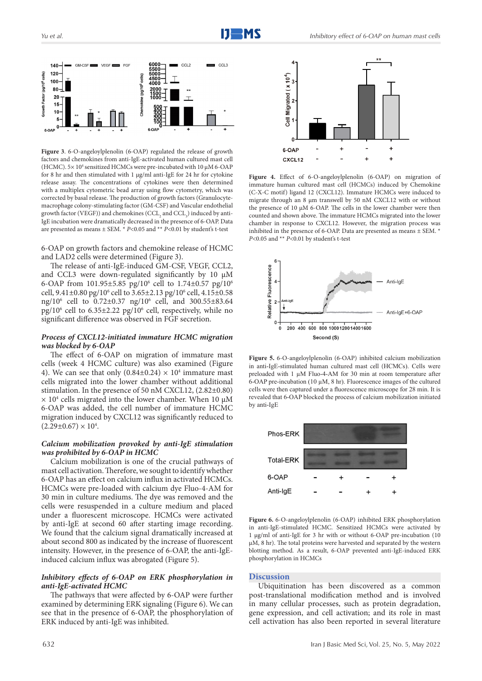

**Figure 3**. 6-O-angeloylplenolin (6-OAP) regulated the release of growth factors and chemokines from anti-IgE-activated human cultured mast cell (HCMC).  $5 \times 10^4$  sensitized HCMCs were pre-incubated with 10  $\mu$ M 6-OAP for 8 hr and then stimulated with 1 µg/ml anti-IgE for 24 hr for cytokine release assay. The concentrations of cytokines were then determined with a multiplex cytometric bead array using flow cytometry, which was corrected by basal release. The production of growth factors (Granulocytemacrophage colony-stimulating factor (GM-CSF) and Vascular endothelial growth factor (VEGF)) and chemokines (CCL<sub>2</sub> and CCL<sub>3</sub>) induced by anti-IgE incubation were dramatically decreased in the presence of 6-OAP. Data are presented as means ± SEM. \* *P*<0.05 and \*\* *P*<0.01 by student's t-test

6-OAP on growth factors and chemokine release of HCMC and LAD2 cells were determined (Figure 3).

The release of anti-IgE-induced GM-CSF, VEGF, CCL2, and CCL3 were down-regulated significantly by 10  $\mu$ M 6-OAP from 101.95±5.85 pg/10<sup>6</sup> cell to 1.74±0.57 pg/10<sup>6</sup> cell, 9.41±0.80 pg/10<sup>6</sup> cell to 3.65±2.13 pg/10<sup>6</sup> cell, 4.15±0.58 ng/106 cell to 0.72±0.37 ng/106 cell, and 300.55±83.64 pg/106 cell to 6.35±2.22 pg/106 cell, respectively, while no significant difference was observed in FGF secretion.

# *Process of CXCL12-initiated immature HCMC migration was blocked by 6-OAP*

The effect of 6-OAP on migration of immature mast cells (week 4 HCMC culture) was also examined (Figure 4). We can see that only  $(0.84\pm0.24) \times 10^4$  immature mast cells migrated into the lower chamber without additional stimulation. In the presence of 50 nM CXCL12, (2.82±0.80)  $\times$  10<sup>4</sup> cells migrated into the lower chamber. When 10  $\mu$ M 6-OAP was added, the cell number of immature HCMC migration induced by CXCL12 was significantly reduced to  $(2.29 \pm 0.67) \times 10^4$ .

# *Calcium mobilization provoked by anti-IgE stimulation was prohibited by 6-OAP in HCMC*

Calcium mobilization is one of the crucial pathways of mast cell activation. Therefore, we sought to identify whether 6-OAP has an effect on calcium influx in activated HCMCs. HCMCs were pre-loaded with calcium dye Fluo-4-AM for 30 min in culture mediums. The dye was removed and the cells were resuspended in a culture medium and placed under a fluorescent microscope. HCMCs were activated by anti-IgE at second 60 after starting image recording. We found that the calcium signal dramatically increased at about second 800 as indicated by the increase of fluorescent intensity. However, in the presence of 6-OAP, the anti-IgEinduced calcium influx was abrogated (Figure 5).

# *Inhibitory effects of 6-OAP on ERK phosphorylation in anti-IgE-activated HCMC*

The pathways that were affected by 6-OAP were further examined by determining ERK signaling (Figure 6). We can see that in the presence of 6-OAP, the phosphorylation of ERK induced by anti-IgE was inhibited.



**Figure 4.** Effect of 6-O-angeloylplenolin (6-OAP) on migration of immature human cultured mast cell (HCMCs) induced by Chemokine (C-X-C motif) ligand 12 (CXCL12). Immature HCMCs were induced to migrate through an 8 μm transwell by 50 nM CXCL12 with or without the presence of 10 μM 6-OAP. The cells in the lower chamber were then counted and shown above. The immature HCMCs migrated into the lower chamber in response to CXCL12. However, the migration process was inhibited in the presence of 6-OAP. Data are presented as means ± SEM. \* *P*<0.05 and \*\* *P*<0.01 by student's t-test



**Figure 5.** 6-O-angeloylplenolin (6-OAP) inhibited calcium mobilization in anti-IgE-stimulated human cultured mast cell (HCMCs). Cells were preloaded with 1 µM Fluo-4-AM for 30 min at room temperature after 6-OAP pre-incubation (10  $\mu$ M, 8 hr). Fluorescence images of the cultured cells were then captured under a fluorescence microscope for 28 min. It is revealed that 6-OAP blocked the process of calcium mobilization initiated by anti-IgE



**Figure 6.** 6-O-angeloylplenolin (6-OAP) inhibited ERK phosphorylation in anti-IgE-stimulated HCMC. Sensitized HCMCs were activated by 1 μg/ml of anti-IgE for 3 hr with or without 6-OAP pre-incubation (10 μM, 8 hr). The total proteins were harvested and separated by the western blotting method. As a result, 6-OAP prevented anti-IgE-induced ERK phosphorylation in HCMCs

#### **Discussion**

Ubiquitination has been discovered as a common post-translational modification method and is involved in many cellular processes, such as protein degradation, gene expression, and cell activation; and its role in mast cell activation has also been reported in several literature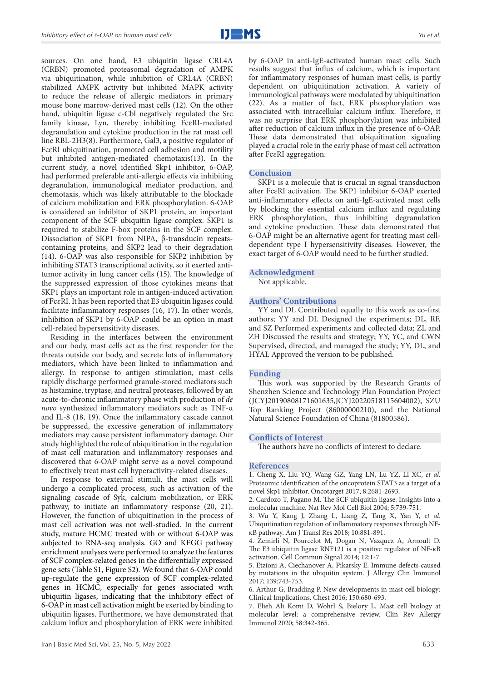

sources. On one hand, E3 ubiquitin ligase CRL4A (CRBN) promoted proteasomal degradation of AMPK via ubiquitination, while inhibition of CRL4A (CRBN) stabilized AMPK activity but inhibited MAPK activity to reduce the release of allergic mediators in primary mouse bone marrow-derived mast cells (12). On the other hand, ubiquitin ligase c-Cbl negatively regulated the Src family kinase, Lyn, thereby inhibiting FcɛRI-mediated degranulation and cytokine production in the rat mast cell line RBL-2H3(8). Furthermore, Gal3, a positive regulator of FcɛRI ubiquitination, promoted cell adhesion and motility but inhibited antigen-mediated chemotaxis(13). In the current study, a novel identified Skp1 inhibitor, 6-OAP, had performed preferable anti-allergic effects via inhibiting degranulation, immunological mediator production, and chemotaxis, which was likely attributable to the blockade of calcium mobilization and ERK phosphorylation. 6-OAP is considered an inhibitor of SKP1 protein, an important component of the SCF ubiquitin ligase complex. SKP1 is required to stabilize F-box proteins in the SCF complex. Dissociation of SKP1 from NIPA, β-transducin repeatscontaining proteins, and SKP2 lead to their degradation (14). 6-OAP was also responsible for SKP2 inhibition by inhibiting STAT3 transcriptional activity, so it exerted antitumor activity in lung cancer cells (15). The knowledge of the suppressed expression of those cytokines means that SKP1 plays an important role in antigen-induced activation of FcɛRI. It has been reported that E3 ubiquitin ligases could facilitate inflammatory responses (16, 17). In other words, inhibition of SKP1 by 6-OAP could be an option in mast

cell-related hypersensitivity diseases. Residing in the interfaces between the environment and our body, mast cells act as the first responder for the threats outside our body, and secrete lots of inflammatory mediators, which have been linked to inflammation and allergy. In response to antigen stimulation, mast cells rapidly discharge performed granule-stored mediators such as histamine, tryptase, and neutral proteases, followed by an acute-to-chronic inflammatory phase with production of *de novo* synthesized inflammatory mediators such as TNF-α and IL-8 (18, 19). Once the inflammatory cascade cannot be suppressed, the excessive generation of inflammatory mediators may cause persistent inflammatory damage. Our study highlighted the role of ubiquitination in the regulation of mast cell maturation and inflammatory responses and discovered that 6-OAP might serve as a novel compound to effectively treat mast cell hyperactivity-related diseases.

In response to external stimuli, the mast cells will undergo a complicated process, such as activation of the signaling cascade of Syk, calcium mobilization, or ERK pathway, to initiate an inflammatory response (20, 21). However, the function of ubiquitination in the process of mast cell activation was not well-studied. In the current study, mature HCMC treated with or without 6-OAP was subjected to RNA-seq analysis. GO and KEGG pathway enrichment analyses were performed to analyze the features of SCF complex-related genes in the differentially expressed gene sets (Table S1, Figure S2)*.* We found that 6-OAP could up-regulate the gene expression of SCF complex-related genes in HCMC, especially for genes associated with ubiquitin ligases, indicating that the inhibitory effect of 6-OAP in mast cell activation might be exerted by binding to ubiquitin ligases. Furthermore, we have demonstrated that calcium influx and phosphorylation of ERK were inhibited

by 6-OAP in anti-IgE-activated human mast cells. Such results suggest that influx of calcium, which is important for inflammatory responses of human mast cells, is partly dependent on ubiquitination activation. A variety of immunological pathways were modulated by ubiquitination (22). As a matter of fact, ERK phosphorylation was associated with intracellular calcium influx. Therefore, it was no surprise that ERK phosphorylation was inhibited after reduction of calcium influx in the presence of 6-OAP. These data demonstrated that ubiquitination signaling played a crucial role in the early phase of mast cell activation after FcɛRI aggregation.

### **Conclusion**

SKP1 is a molecule that is crucial in signal transduction after FcɛRI activation. The SKP1 inhibitor 6-OAP exerted anti-inflammatory effects on anti-IgE-activated mast cells by blocking the essential calcium influx and regulating ERK phosphorylation, thus inhibiting degranulation and cytokine production. These data demonstrated that 6-OAP might be an alternative agent for treating mast celldependent type I hypersensitivity diseases. However, the exact target of 6-OAP would need to be further studied.

#### **Acknowledgment**

Not applicable.

#### **Authors' Contributions**

YY and DL Contributed equally to this work as co-first authors; YY and DL Designed the experiments; DL, RF, and SZ Performed experiments and collected data; ZL and ZH Discussed the results and strategy; YY, YC, and CWN Supervised, directed, and managed the study; YY, DL, and HYAL Approved the version to be published.

#### **Funding**

This work was supported by the Research Grants of Shenzhen Science and Technology Plan Foundation Project (JCYJ20190808171601635,JCYJ20220518115604002), SZU Top Ranking Project (86000000210), and the National Natural Science Foundation of China (81800586).

# **Conflicts of Interest**

The authors have no conflicts of interest to declare.

#### **References**

1. Cheng X, Liu YQ, Wang GZ, Yang LN, Lu YZ, Li XC, *et al*. Proteomic identification of the oncoprotein STAT3 as a target of a novel Skp1 inhibitor. Oncotarget 2017; 8:2681-2693.

2. Cardozo T, Pagano M. The SCF ubiquitin ligase: Insights into a molecular machine. Nat Rev Mol Cell Biol 2004; 5:739-751.

3. Wu Y, Kang J, Zhang L, Liang Z, Tang X, Yan Y, *et al*. Ubiquitination regulation of inflammatory responses through NFκB pathway. Am J Transl Res 2018; 10:881-891.

4. Zemirli N, Pourcelot M, Dogan N, Vazquez A, Arnoult D. The E3 ubiquitin ligase RNF121 is a positive regulator of NF-κB activation. Cell Commun Signal 2014; 12:1-7.

5. Etzioni A, Ciechanover A, Pikarsky E. Immune defects caused by mutations in the ubiquitin system. J Allergy Clin Immunol 2017; 139:743-753.

6. Arthur G, Bradding P. New developments in mast cell biology: Clinical Implications. Chest 2016; 150:680-693.

7. Elieh Ali Komi D, Wohrl S, Bielory L. Mast cell biology at molecular level: a comprehensive review. Clin Rev Allergy Immunol 2020; 58:342-365.